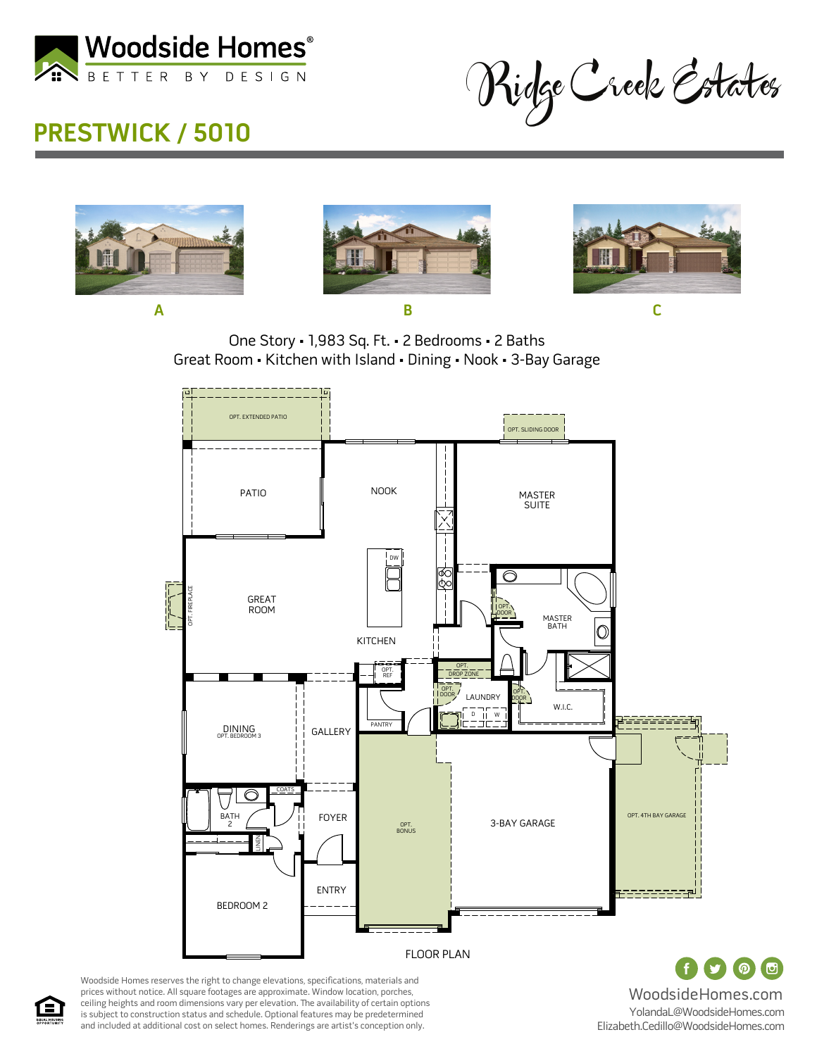

## **PRESTWICK / 5010**

Ridge Creek Estates







One Story • 1,983 Sq. Ft. • 2 Bedrooms • 2 Baths Great Room • Kitchen with Island • Dining • Nook • 3-Bay Garage



Woodside Homes reserves the right to change elevations, specifications, materials and prices without notice. All square footages are approximate. Window location, porches, ceiling heights and room dimensions vary per elevation. The availability of certain options is subject to construction status and schedule. Optional features may be predetermined and included at additional cost on select homes. Renderings are artist's conception only.